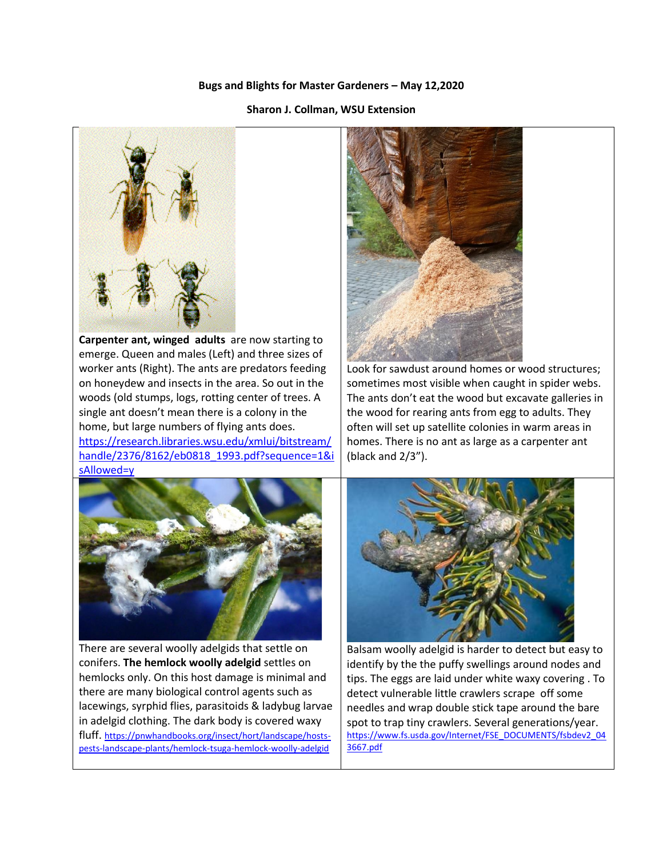## **Bugs and Blights for Master Gardeners – May 12,2020**

## **Sharon J. Collman, WSU Extension**



**Carpenter ant, winged adults** are now starting to emerge. Queen and males (Left) and three sizes of worker ants (Right). The ants are predators feeding on honeydew and insects in the area. So out in the woods (old stumps, logs, rotting center of trees. A single ant doesn't mean there is a colony in the home, but large numbers of flying ants does. [https://research.libraries.wsu.edu/xmlui/bitstream/](https://research.libraries.wsu.edu/xmlui/bitstream/handle/2376/8162/eb0818_1993.pdf?sequence=1&isAllowed=y) [handle/2376/8162/eb0818\\_1993.pdf?sequence=1&i](https://research.libraries.wsu.edu/xmlui/bitstream/handle/2376/8162/eb0818_1993.pdf?sequence=1&isAllowed=y) [sAllowed=y](https://research.libraries.wsu.edu/xmlui/bitstream/handle/2376/8162/eb0818_1993.pdf?sequence=1&isAllowed=y)



Look for sawdust around homes or wood structures; sometimes most visible when caught in spider webs. The ants don't eat the wood but excavate galleries in the wood for rearing ants from egg to adults. They often will set up satellite colonies in warm areas in homes. There is no ant as large as a carpenter ant (black and 2/3").



There are several woolly adelgids that settle on conifers. **The hemlock woolly adelgid** settles on hemlocks only. On this host damage is minimal and there are many biological control agents such as lacewings, syrphid flies, parasitoids & ladybug larvae in adelgid clothing. The dark body is covered waxy fluff. [https://pnwhandbooks.org/insect/hort/landscape/hosts](https://pnwhandbooks.org/insect/hort/landscape/hosts-pests-landscape-plants/hemlock-tsuga-hemlock-woolly-adelgid)[pests-landscape-plants/hemlock-tsuga-hemlock-woolly-adelgid](https://pnwhandbooks.org/insect/hort/landscape/hosts-pests-landscape-plants/hemlock-tsuga-hemlock-woolly-adelgid)



Balsam woolly adelgid is harder to detect but easy to identify by the the puffy swellings around nodes and tips. The eggs are laid under white waxy covering . To detect vulnerable little crawlers scrape off some needles and wrap double stick tape around the bare spot to trap tiny crawlers. Several generations/year. [https://www.fs.usda.gov/Internet/FSE\\_DOCUMENTS/fsbdev2\\_04](https://www.fs.usda.gov/Internet/FSE_DOCUMENTS/fsbdev2_043667.pdf) [3667.pdf](https://www.fs.usda.gov/Internet/FSE_DOCUMENTS/fsbdev2_043667.pdf)